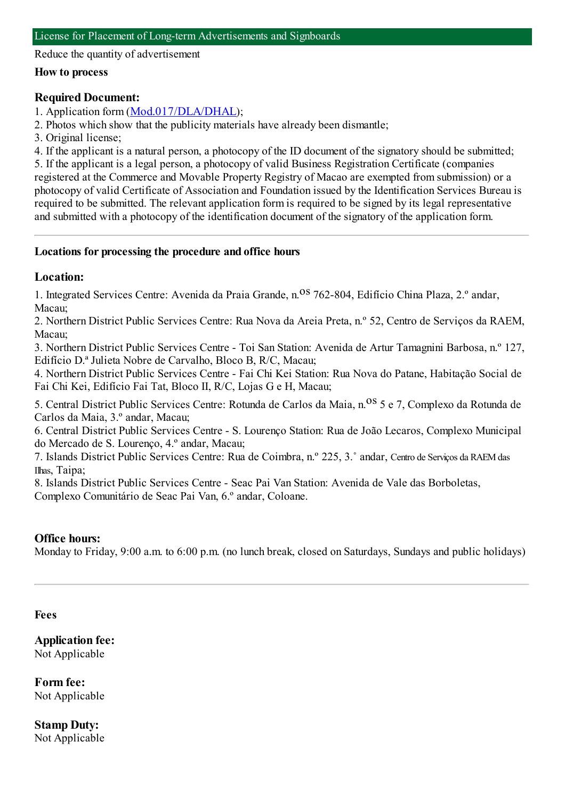Reduce the quantity of advertisement

#### **How to process**

## **Required Document:**

1. Application form([Mod.017/DLA/DHAL](https://www.iam.gov.mo/c/pdf/eformDetail/PDF365));

2. Photos which show that the publicity materials have already been dismantle;

3. Original license;

4. If the applicant is a natural person, a photocopy of the ID document of the signatory should be submitted; 5. If the applicant is a legal person, a photocopy of valid Business Registration Certificate (companies registered at the Commerce and Movable Property Registry of Macao are exempted fromsubmission) or a photocopy of valid Certificate of Association and Foundation issued by the Identification Services Bureau is required to be submitted. The relevant application formis required to be signed by its legal representative and submitted with a photocopy of the identification document of the signatory of the application form.

## **Locations for processing the procedure and office hours**

## **Location:**

1. Integrated Services Centre: Avenida da Praia Grande, n. <sup>08</sup> 762-804, Edifício China Plaza, 2.º andar, Macau;

2. Northern District Public Services Centre: Rua Nova da Areia Preta, n.º 52, Centro de Serviços da RAEM, Macau;

3. Northern District Public Services Centre - Toi San Station: Avenida de Artur Tamagnini Barbosa, n.º 127, Edifício D.ª Julieta Nobre de Carvalho, Bloco B, R/C, Macau;

4. Northern District Public Services Centre - Fai Chi Kei Station: Rua Nova do Patane, Habitação Social de Fai Chi Kei, Edifício Fai Tat, Bloco II, R/C, Lojas G e H, Macau;

5. Central District Public Services Centre: Rotunda de Carlos da Maia, n.<sup>08</sup> 5 e 7, Complexo da Rotunda de Carlos da Maia, 3.º andar, Macau;

6. Central District Public Services Centre - S. Lourenço Station: Rua de João Lecaros, Complexo Municipal do Mercado de S. Lourenço, 4.º andar, Macau;

7. Islands District Public Services Centre: Rua de Coimbra, n.º 225, 3.˚ andar, Centro de Serviços da RAEMdas Ilhas, Taipa;

8. Islands District Public Services Centre - Seac Pai Van Station: Avenida de Vale das Borboletas,

Complexo Comunitário de Seac Pai Van, 6.º andar, Coloane.

# **Office hours:**

Monday to Friday, 9:00 a.m. to 6:00 p.m. (no lunch break, closed on Saturdays, Sundays and public holidays)

#### **Fees**

**Application fee:** Not Applicable

**Form fee:** Not Applicable

**Stamp Duty:** Not Applicable